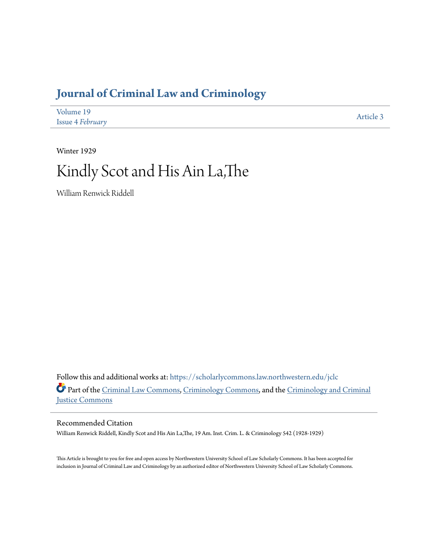## **[Journal of Criminal Law and Criminology](https://scholarlycommons.law.northwestern.edu/jclc?utm_source=scholarlycommons.law.northwestern.edu%2Fjclc%2Fvol19%2Fiss4%2F3&utm_medium=PDF&utm_campaign=PDFCoverPages)**

| Volume 19               | Article 3 |
|-------------------------|-----------|
| <b>Issue 4 February</b> |           |

Winter 1929

## Kindly Scot and His Ain La,The

William Renwick Riddell

Follow this and additional works at: [https://scholarlycommons.law.northwestern.edu/jclc](https://scholarlycommons.law.northwestern.edu/jclc?utm_source=scholarlycommons.law.northwestern.edu%2Fjclc%2Fvol19%2Fiss4%2F3&utm_medium=PDF&utm_campaign=PDFCoverPages) Part of the [Criminal Law Commons](http://network.bepress.com/hgg/discipline/912?utm_source=scholarlycommons.law.northwestern.edu%2Fjclc%2Fvol19%2Fiss4%2F3&utm_medium=PDF&utm_campaign=PDFCoverPages), [Criminology Commons](http://network.bepress.com/hgg/discipline/417?utm_source=scholarlycommons.law.northwestern.edu%2Fjclc%2Fvol19%2Fiss4%2F3&utm_medium=PDF&utm_campaign=PDFCoverPages), and the [Criminology and Criminal](http://network.bepress.com/hgg/discipline/367?utm_source=scholarlycommons.law.northwestern.edu%2Fjclc%2Fvol19%2Fiss4%2F3&utm_medium=PDF&utm_campaign=PDFCoverPages) [Justice Commons](http://network.bepress.com/hgg/discipline/367?utm_source=scholarlycommons.law.northwestern.edu%2Fjclc%2Fvol19%2Fiss4%2F3&utm_medium=PDF&utm_campaign=PDFCoverPages)

Recommended Citation

William Renwick Riddell, Kindly Scot and His Ain La,The, 19 Am. Inst. Crim. L. & Criminology 542 (1928-1929)

This Article is brought to you for free and open access by Northwestern University School of Law Scholarly Commons. It has been accepted for inclusion in Journal of Criminal Law and Criminology by an authorized editor of Northwestern University School of Law Scholarly Commons.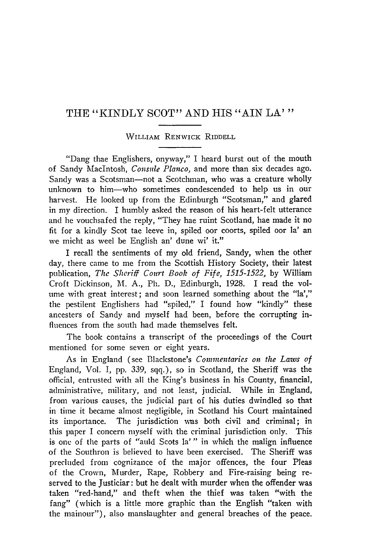## THE "KINDLY SCOT" AND HIS "AIN LA'"

## WILLIAM RENWICK RIDDELL

"Dang thae Englishers, onyway," I heard burst out of the mouth of Sandy MacIntosh, *Consule Planco,* and more than six decades ago. Sandy was a Scotsman-not a Scotchman, who was a creature wholly unknown to him-who sometimes condescended to help us in our harvest. He looked up from the Edinburgh "Scotsman," and glared in my direction. I humbly asked the reason of his heart-felt utterance and he vouchsafed the reply, "They hae ruint Scotland, hae made it no fit for a kindly Scot tae leeve in, spiled oor coorts, spiled oor la' an we micht as weel be English an' dune wi' it."

I recall the sentiments of my old friend, Sandy, when the other day, there came to me from the Scottish History Society, their latest publication, *The Sheriff Court* Book *of Fife, 1515-1522,* by William Croft Dickinson, M. A., Ph. D., Edinburgh, 1928. I read the volume with great interest; and soon learned something about the "la'," the pestilent Englishers had "spiled," I found how "kindly" these ancesters of Sandy and myself had been, before the corrupting influences from the south had made themselves felt.

The book contains a transcript of the proceedings of the Court mentioned for some seven or eight years.

As in England (see Blackstone's *Commentaries on the Laws of* England, Vol. I, pp. 339, sqq.), so in Scotland, the Sheriff was the official, entrusted with all the King's business in his County, financial, administrative, military, and not least, judicial. While in England, from various causes, the judicial part of his duties dwindled so that in time it became almost negligible, in Scotland his Court maintained its importance. The jurisdiction was both civil and criminal; in this paper I concern myself with the criminal jurisdiction only. This is one of the parts of "auld Scots la' " in which the malign influence of the Southron is believed to have been exercised. The Sheriff was precluded from cognizance of the major offences, the four Pleas of the Crown, Murder, Rape, Robbery and Fire-raising being reserved to the Justiciar: but he dealt with murder when the offender was taken "red-hand," and theft when the thief was taken "with the fang" (which is a little more graphic than the English "taken with the mainour"), also manslaughter and general breaches of the peace.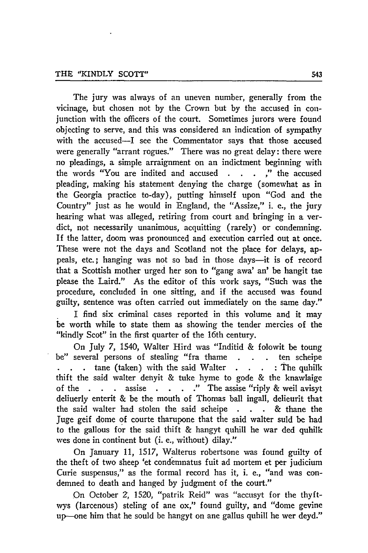The jury was always of an uneven number, generally from the vicinage, but chosen not **by** the Crown but **by** the accused in conjunction with the officers of the court. Sometimes jurors were found objecting to serve, and this was considered an indication of sympathy with the accused-I see the Commentator says that those accused were generally "arrant rogues." There was no great delay: there were no pleadings, a simple arraignment on an indictment beginning with the words "You are indited and accused . . . ," the accused pleading, making his statement denying the charge (somewhat as in the Georgia practice to-day), putting himself upon "God and the Country" just as he would in England, the "Assize," i. e., the jury hearing what was alleged, retiring from court and bringing in a verdict, not necessarily unanimous, acquitting (rarely) or condemning. If the latter, doom was pronounced and execution carried out at once. These were not the days and Scotland not the place for delays, appeals, etc.; hanging was not so bad in those days—it is of record that a Scottish mother urged her son to "gang awa' an' be hangit tae please the Laird." As the editor of this work says, "Such was the procedure, concluded in one sitting, and if the accused was found guilty, sentence was often carried out immediately on the same day."

I find six criminal cases reported in this volume and it may be worth while to state them as showing the tender mercies of the "kindly Scot" in the first quarter of the 16th century.

On July 7, 1540, Walter Hird was "Inditid & folowit be toung be" several persons of stealing "fra thame **. .** ten scheipe **tane (taken)** with the said Walter **.** . . The quhilk thift the said walter denyit & tuke hyme to gode & the knawlaige of the **. .** assise . **. .."** The assise "riply & weil avisyt deliuerly enterit & be the mouth of Thomas ball ingall, delieurit that the said walter had stolen the said scheipe **. . .** & thane the Juge geif dome of courte tharupone that the said walter suld be had to the gallous for the said thift & hangyt quhill he war ded quhilk wes done in continent but (i. e., without) dilay."

On January 11, 1517, Walterus robertsone was found guilty of the theft of two sheep 'et condemnatus fuit ad mortem et per judicium Curie suspensus," as the formal record has it, i. e., "and was condemned to death and hanged **by** judgment of the court."

On October 2, 1520, "patrik Reid" was "accusyt for the thyftwys (larcenous) steling of ane ox," found guilty, and "dome gevine up-one him that he sould be hangyt on ane gallus quhill he wer deyd."